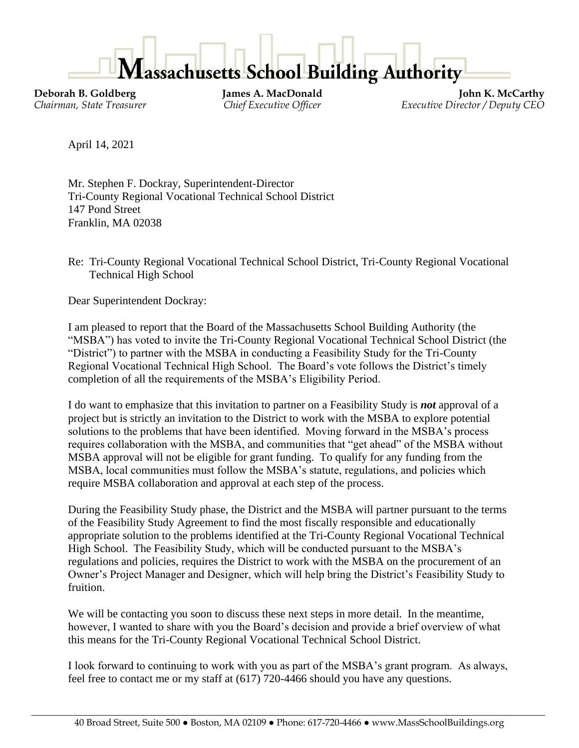

**Deborah B. Goldberg James A. MacDonald John K. McCarthy** *Chairman, State Treasurer Chief Executive Officer Executive Director / Deputy CEO*

April 14, 2021

Mr. Stephen F. Dockray, Superintendent-Director Tri-County Regional Vocational Technical School District 147 Pond Street Franklin, MA 02038

Re: Tri-County Regional Vocational Technical School District, Tri-County Regional Vocational Technical High School

Dear Superintendent Dockray:

I am pleased to report that the Board of the Massachusetts School Building Authority (the "MSBA") has voted to invite the Tri-County Regional Vocational Technical School District (the "District") to partner with the MSBA in conducting a Feasibility Study for the Tri-County Regional Vocational Technical High School. The Board's vote follows the District's timely completion of all the requirements of the MSBA's Eligibility Period.

I do want to emphasize that this invitation to partner on a Feasibility Study is *not* approval of a project but is strictly an invitation to the District to work with the MSBA to explore potential solutions to the problems that have been identified. Moving forward in the MSBA's process requires collaboration with the MSBA, and communities that "get ahead" of the MSBA without MSBA approval will not be eligible for grant funding. To qualify for any funding from the MSBA, local communities must follow the MSBA's statute, regulations, and policies which require MSBA collaboration and approval at each step of the process.

During the Feasibility Study phase, the District and the MSBA will partner pursuant to the terms of the Feasibility Study Agreement to find the most fiscally responsible and educationally appropriate solution to the problems identified at the Tri-County Regional Vocational Technical High School. The Feasibility Study, which will be conducted pursuant to the MSBA's regulations and policies, requires the District to work with the MSBA on the procurement of an Owner's Project Manager and Designer, which will help bring the District's Feasibility Study to fruition.

We will be contacting you soon to discuss these next steps in more detail. In the meantime, however, I wanted to share with you the Board's decision and provide a brief overview of what this means for the Tri-County Regional Vocational Technical School District.

I look forward to continuing to work with you as part of the MSBA's grant program. As always, feel free to contact me or my staff at (617) 720-4466 should you have any questions.